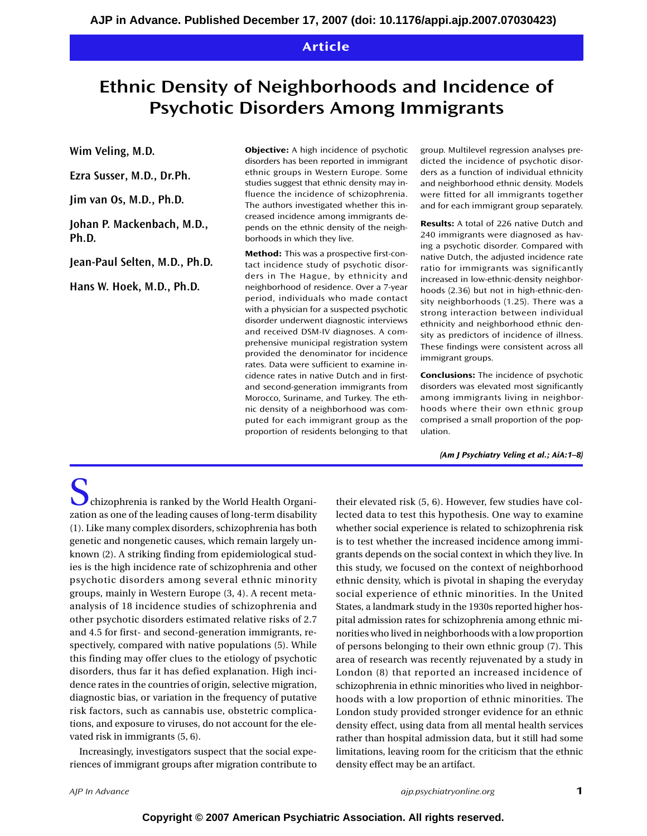# **Article**

# **Ethnic Density of Neighborhoods and Incidence of Psychotic Disorders Among Immigrants**

**Wim Veling, M.D.**

**Ezra Susser, M.D., Dr.Ph.**

**Jim van Os, M.D., Ph.D.**

**Johan P. Mackenbach, M.D., Ph.D.**

**Jean-Paul Selten, M.D., Ph.D.**

**Hans W. Hoek, M.D., Ph.D.**

**Objective:** A high incidence of psychotic disorders has been reported in immigrant ethnic groups in Western Europe. Some studies suggest that ethnic density may influence the incidence of schizophrenia. The authors investigated whether this increased incidence among immigrants depends on the ethnic density of the neighborhoods in which they live.

**Method:** This was a prospective first-contact incidence study of psychotic disorders in The Hague, by ethnicity and neighborhood of residence. Over a 7-year period, individuals who made contact with a physician for a suspected psychotic disorder underwent diagnostic interviews and received DSM-IV diagnoses. A comprehensive municipal registration system provided the denominator for incidence rates. Data were sufficient to examine incidence rates in native Dutch and in firstand second-generation immigrants from Morocco, Suriname, and Turkey. The ethnic density of a neighborhood was computed for each immigrant group as the proportion of residents belonging to that group. Multilevel regression analyses predicted the incidence of psychotic disorders as a function of individual ethnicity and neighborhood ethnic density. Models were fitted for all immigrants together and for each immigrant group separately.

**Results:** A total of 226 native Dutch and 240 immigrants were diagnosed as having a psychotic disorder. Compared with native Dutch, the adjusted incidence rate ratio for immigrants was significantly increased in low-ethnic-density neighborhoods (2.36) but not in high-ethnic-density neighborhoods (1.25). There was a strong interaction between individual ethnicity and neighborhood ethnic density as predictors of incidence of illness. These findings were consistent across all immigrant groups.

**Conclusions:** The incidence of psychotic disorders was elevated most significantly among immigrants living in neighborhoods where their own ethnic group comprised a small proportion of the population.

*(Am J Psychiatry Veling et al.; AiA:1–8)*

 $\sum$  chizophrenia is ranked by the World Health Organization as one of the leading causes of long-term disability (1). Like many complex disorders, schizophrenia has both genetic and nongenetic causes, which remain largely unknown (2). A striking finding from epidemiological studies is the high incidence rate of schizophrenia and other psychotic disorders among several ethnic minority groups, mainly in Western Europe (3, 4). A recent metaanalysis of 18 incidence studies of schizophrenia and other psychotic disorders estimated relative risks of 2.7 and 4.5 for first- and second-generation immigrants, respectively, compared with native populations (5). While this finding may offer clues to the etiology of psychotic disorders, thus far it has defied explanation. High incidence rates in the countries of origin, selective migration, diagnostic bias, or variation in the frequency of putative risk factors, such as cannabis use, obstetric complications, and exposure to viruses, do not account for the elevated risk in immigrants (5, 6).

Increasingly, investigators suspect that the social experiences of immigrant groups after migration contribute to

their elevated risk (5, 6). However, few studies have collected data to test this hypothesis. One way to examine whether social experience is related to schizophrenia risk is to test whether the increased incidence among immigrants depends on the social context in which they live. In this study, we focused on the context of neighborhood ethnic density, which is pivotal in shaping the everyday social experience of ethnic minorities. In the United States, a landmark study in the 1930s reported higher hospital admission rates for schizophrenia among ethnic minorities who lived in neighborhoods with a low proportion of persons belonging to their own ethnic group (7). This area of research was recently rejuvenated by a study in London (8) that reported an increased incidence of schizophrenia in ethnic minorities who lived in neighborhoods with a low proportion of ethnic minorities. The London study provided stronger evidence for an ethnic density effect, using data from all mental health services rather than hospital admission data, but it still had some limitations, leaving room for the criticism that the ethnic density effect may be an artifact.

*AJP In Advance* **1** *ajp.psychiatryonline.org*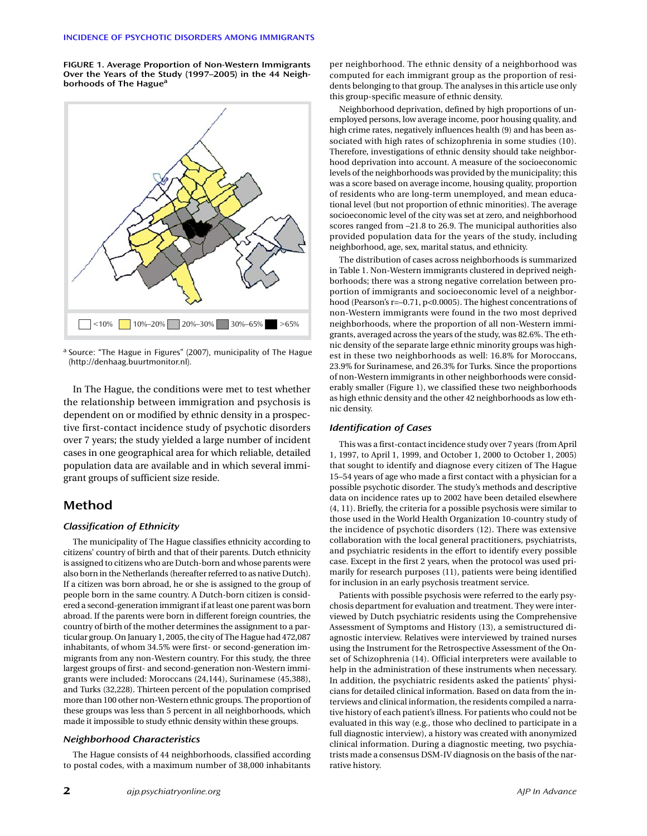**FIGURE 1. Average Proportion of Non-Western Immigrants Over the Years of the Study (1997–2005) in the 44 Neighborhoods of The Haguea**



<sup>a</sup> Source: "The Hague in Figures" (2007), municipality of The Hague (http://denhaag.buurtmonitor.nl).

In The Hague, the conditions were met to test whether the relationship between immigration and psychosis is dependent on or modified by ethnic density in a prospective first-contact incidence study of psychotic disorders over 7 years; the study yielded a large number of incident cases in one geographical area for which reliable, detailed population data are available and in which several immigrant groups of sufficient size reside.

## **Method**

#### *Classification of Ethnicity*

The municipality of The Hague classifies ethnicity according to citizens' country of birth and that of their parents. Dutch ethnicity is assigned to citizens who are Dutch-born and whose parents were also born in the Netherlands (hereafter referred to as native Dutch). If a citizen was born abroad, he or she is assigned to the group of people born in the same country. A Dutch-born citizen is considered a second-generation immigrant if at least one parent was born abroad. If the parents were born in different foreign countries, the country of birth of the mother determines the assignment to a particular group. On January 1, 2005, the city of The Hague had 472,087 inhabitants, of whom 34.5% were first- or second-generation immigrants from any non-Western country. For this study, the three largest groups of first- and second-generation non-Western immigrants were included: Moroccans (24,144), Surinamese (45,388), and Turks (32,228). Thirteen percent of the population comprised more than 100 other non-Western ethnic groups. The proportion of these groups was less than 5 percent in all neighborhoods, which made it impossible to study ethnic density within these groups.

#### *Neighborhood Characteristics*

The Hague consists of 44 neighborhoods, classified according to postal codes, with a maximum number of 38,000 inhabitants

per neighborhood. The ethnic density of a neighborhood was computed for each immigrant group as the proportion of residents belonging to that group. The analyses in this article use only this group-specific measure of ethnic density.

Neighborhood deprivation, defined by high proportions of unemployed persons, low average income, poor housing quality, and high crime rates, negatively influences health (9) and has been associated with high rates of schizophrenia in some studies (10). Therefore, investigations of ethnic density should take neighborhood deprivation into account. A measure of the socioeconomic levels of the neighborhoods was provided by the municipality; this was a score based on average income, housing quality, proportion of residents who are long-term unemployed, and mean educational level (but not proportion of ethnic minorities). The average socioeconomic level of the city was set at zero, and neighborhood scores ranged from –21.8 to 26.9. The municipal authorities also provided population data for the years of the study, including neighborhood, age, sex, marital status, and ethnicity.

The distribution of cases across neighborhoods is summarized in Table 1. Non-Western immigrants clustered in deprived neighborhoods; there was a strong negative correlation between proportion of immigrants and socioeconomic level of a neighborhood (Pearson's r=–0.71, p<0.0005). The highest concentrations of non-Western immigrants were found in the two most deprived neighborhoods, where the proportion of all non-Western immigrants, averaged across the years of the study, was 82.6%. The ethnic density of the separate large ethnic minority groups was highest in these two neighborhoods as well: 16.8% for Moroccans, 23.9% for Surinamese, and 26.3% for Turks. Since the proportions of non-Western immigrants in other neighborhoods were considerably smaller (Figure 1), we classified these two neighborhoods as high ethnic density and the other 42 neighborhoods as low ethnic density.

#### *Identification of Cases*

This was a first-contact incidence study over 7 years (from April 1, 1997, to April 1, 1999, and October 1, 2000 to October 1, 2005) that sought to identify and diagnose every citizen of The Hague 15–54 years of age who made a first contact with a physician for a possible psychotic disorder. The study's methods and descriptive data on incidence rates up to 2002 have been detailed elsewhere (4, 11). Briefly, the criteria for a possible psychosis were similar to those used in the World Health Organization 10-country study of the incidence of psychotic disorders (12). There was extensive collaboration with the local general practitioners, psychiatrists, and psychiatric residents in the effort to identify every possible case. Except in the first 2 years, when the protocol was used primarily for research purposes (11), patients were being identified for inclusion in an early psychosis treatment service.

Patients with possible psychosis were referred to the early psychosis department for evaluation and treatment. They were interviewed by Dutch psychiatric residents using the Comprehensive Assessment of Symptoms and History (13), a semistructured diagnostic interview. Relatives were interviewed by trained nurses using the Instrument for the Retrospective Assessment of the Onset of Schizophrenia (14). Official interpreters were available to help in the administration of these instruments when necessary. In addition, the psychiatric residents asked the patients' physicians for detailed clinical information. Based on data from the interviews and clinical information, the residents compiled a narrative history of each patient's illness. For patients who could not be evaluated in this way (e.g., those who declined to participate in a full diagnostic interview), a history was created with anonymized clinical information. During a diagnostic meeting, two psychiatrists made a consensus DSM-IV diagnosis on the basis of the narrative history.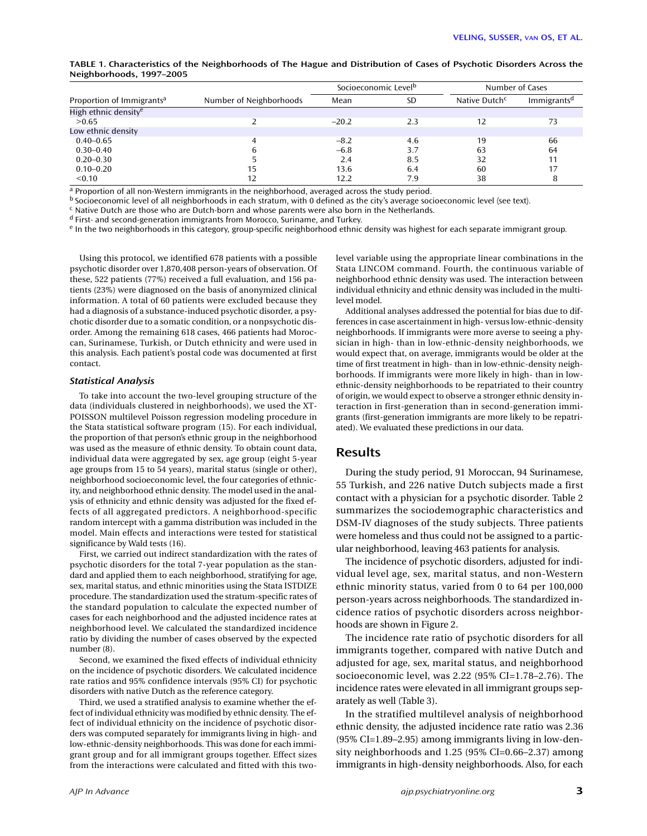| TABLE 1. Characteristics of the Neighborhoods of The Hague and Distribution of Cases of Psychotic Disorders Across the |  |  |
|------------------------------------------------------------------------------------------------------------------------|--|--|
| Neighborhoods, 1997-2005                                                                                               |  |  |

|                                       | Socioeconomic Level <sup>b</sup> |         |     | Number of Cases           |                         |
|---------------------------------------|----------------------------------|---------|-----|---------------------------|-------------------------|
| Proportion of Immigrants <sup>a</sup> | Number of Neighborhoods          | Mean    | SD  | Native Dutch <sup>c</sup> | Immigrants <sup>d</sup> |
| High ethnic density <sup>e</sup>      |                                  |         |     |                           |                         |
| >0.65                                 |                                  | $-20.2$ | 2.3 | 12                        | 73                      |
| Low ethnic density                    |                                  |         |     |                           |                         |
| $0.40 - 0.65$                         |                                  | $-8.2$  | 4.6 | 19                        | 66                      |
| $0.30 - 0.40$                         |                                  | $-6.8$  | 3.7 | 63                        | 64                      |
| $0.20 - 0.30$                         |                                  | 2.4     | 8.5 | 32                        | 11                      |
| $0.10 - 0.20$                         | 15                               | 13.6    | 6.4 | 60                        | 17                      |
| < 0.10                                | 12                               | 12.2    | 7.9 | 38                        | 8                       |

a Proportion of all non-Western immigrants in the neighborhood, averaged across the study period.

<sup>b</sup> Socioeconomic level of all neighborhoods in each stratum, with 0 defined as the city's average socioeconomic level (see text).

<sup>c</sup> Native Dutch are those who are Dutch-born and whose parents were also born in the Netherlands.

<sup>d</sup> First- and second-generation immigrants from Morocco, Suriname, and Turkey.

<sup>e</sup> In the two neighborhoods in this category, group-specific neighborhood ethnic density was highest for each separate immigrant group.

Using this protocol, we identified 678 patients with a possible psychotic disorder over 1,870,408 person-years of observation. Of these, 522 patients (77%) received a full evaluation, and 156 patients (23%) were diagnosed on the basis of anonymized clinical information. A total of 60 patients were excluded because they had a diagnosis of a substance-induced psychotic disorder, a psychotic disorder due to a somatic condition, or a nonpsychotic disorder. Among the remaining 618 cases, 466 patients had Moroccan, Surinamese, Turkish, or Dutch ethnicity and were used in this analysis. Each patient's postal code was documented at first contact.

#### *Statistical Analysis*

To take into account the two-level grouping structure of the data (individuals clustered in neighborhoods), we used the XT-POISSON multilevel Poisson regression modeling procedure in the Stata statistical software program (15). For each individual, the proportion of that person's ethnic group in the neighborhood was used as the measure of ethnic density. To obtain count data, individual data were aggregated by sex, age group (eight 5-year age groups from 15 to 54 years), marital status (single or other), neighborhood socioeconomic level, the four categories of ethnicity, and neighborhood ethnic density. The model used in the analysis of ethnicity and ethnic density was adjusted for the fixed effects of all aggregated predictors. A neighborhood-specific random intercept with a gamma distribution was included in the model. Main effects and interactions were tested for statistical significance by Wald tests (16).

First, we carried out indirect standardization with the rates of psychotic disorders for the total 7-year population as the standard and applied them to each neighborhood, stratifying for age, sex, marital status, and ethnic minorities using the Stata ISTDIZE procedure. The standardization used the stratum-specific rates of the standard population to calculate the expected number of cases for each neighborhood and the adjusted incidence rates at neighborhood level. We calculated the standardized incidence ratio by dividing the number of cases observed by the expected number (8).

Second, we examined the fixed effects of individual ethnicity on the incidence of psychotic disorders. We calculated incidence rate ratios and 95% confidence intervals (95% CI) for psychotic disorders with native Dutch as the reference category.

Third, we used a stratified analysis to examine whether the effect of individual ethnicity was modified by ethnic density. The effect of individual ethnicity on the incidence of psychotic disorders was computed separately for immigrants living in high- and low-ethnic-density neighborhoods. This was done for each immigrant group and for all immigrant groups together. Effect sizes from the interactions were calculated and fitted with this two-

time of first treatment in high- than in low-ethnic-density neighborhoods. If immigrants were more likely in high- than in lowethnic-density neighborhoods to be repatriated to their country of origin, we would expect to observe a stronger ethnic density interaction in first-generation than in second-generation immigrants (first-generation immigrants are more likely to be repatri-

ated). We evaluated these predictions in our data.

## **Results**

level model.

During the study period, 91 Moroccan, 94 Surinamese, 55 Turkish, and 226 native Dutch subjects made a first contact with a physician for a psychotic disorder. Table 2 summarizes the sociodemographic characteristics and DSM-IV diagnoses of the study subjects. Three patients were homeless and thus could not be assigned to a particular neighborhood, leaving 463 patients for analysis.

level variable using the appropriate linear combinations in the Stata LINCOM command. Fourth, the continuous variable of neighborhood ethnic density was used. The interaction between individual ethnicity and ethnic density was included in the multi-

Additional analyses addressed the potential for bias due to differences in case ascertainment in high- versus low-ethnic-density neighborhoods. If immigrants were more averse to seeing a physician in high- than in low-ethnic-density neighborhoods, we would expect that, on average, immigrants would be older at the

The incidence of psychotic disorders, adjusted for individual level age, sex, marital status, and non-Western ethnic minority status, varied from 0 to 64 per 100,000 person-years across neighborhoods. The standardized incidence ratios of psychotic disorders across neighborhoods are shown in Figure 2.

The incidence rate ratio of psychotic disorders for all immigrants together, compared with native Dutch and adjusted for age, sex, marital status, and neighborhood socioeconomic level, was 2.22 (95% CI=1.78–2.76). The incidence rates were elevated in all immigrant groups separately as well (Table 3).

In the stratified multilevel analysis of neighborhood ethnic density, the adjusted incidence rate ratio was 2.36 (95% CI=1.89–2.95) among immigrants living in low-density neighborhoods and 1.25 (95% CI=0.66–2.37) among immigrants in high-density neighborhoods. Also, for each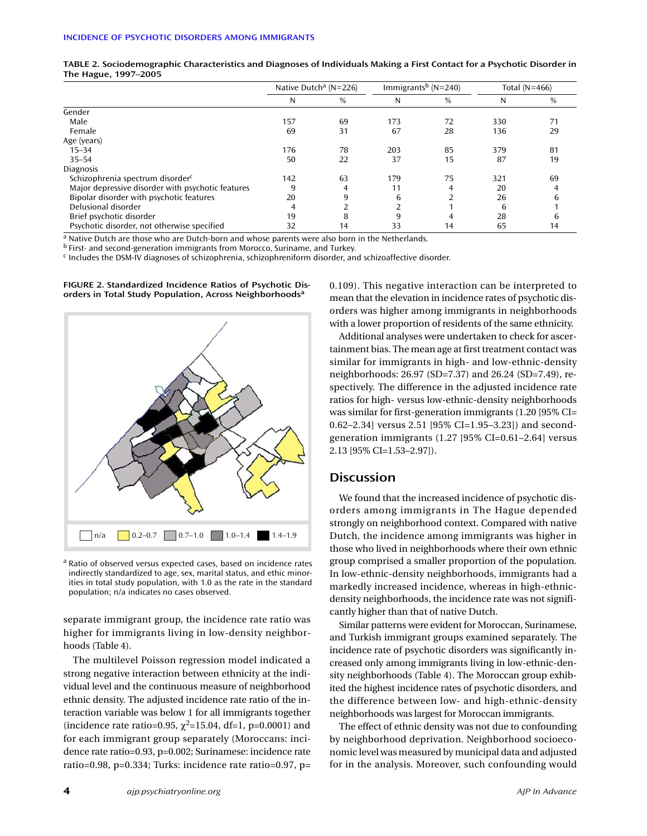|                                                   | Native Dutch <sup>a</sup> (N=226) |      | Immigrants <sup>b</sup> ( $N=240$ ) |      | Total $(N=466)$ |      |
|---------------------------------------------------|-----------------------------------|------|-------------------------------------|------|-----------------|------|
|                                                   | N                                 | $\%$ | N                                   | $\%$ | N               | $\%$ |
| Gender                                            |                                   |      |                                     |      |                 |      |
| Male                                              | 157                               | 69   | 173                                 | 72   | 330             | 71   |
| Female                                            | 69                                | 31   | 67                                  | 28   | 136             | 29   |
| Age (years)                                       |                                   |      |                                     |      |                 |      |
| $15 - 34$                                         | 176                               | 78   | 203                                 | 85   | 379             | 81   |
| $35 - 54$                                         | 50                                | 22   | 37                                  | 15   | 87              | 19   |
| <b>Diagnosis</b>                                  |                                   |      |                                     |      |                 |      |
| Schizophrenia spectrum disorder <sup>c</sup>      | 142                               | 63   | 179                                 | 75   | 321             | 69   |
| Major depressive disorder with psychotic features | 9                                 | 4    | 11                                  | 4    | 20              |      |
| Bipolar disorder with psychotic features          | 20                                | 9    | 6                                   |      | 26              | 6    |
| Delusional disorder                               |                                   |      |                                     |      | 6               |      |
| Brief psychotic disorder                          | 19                                | 8    | 9                                   | 4    | 28              | h    |
| Psychotic disorder, not otherwise specified       | 32                                | 14   | 33                                  | 14   | 65              | 14   |

**TABLE 2. Sociodemographic Characteristics and Diagnoses of Individuals Making a First Contact for a Psychotic Disorder in The Hague, 1997–2005**

a Native Dutch are those who are Dutch-born and whose parents were also born in the Netherlands.

<sup>b</sup> First- and second-generation immigrants from Morocco, Suriname, and Turkey.

<sup>c</sup> Includes the DSM-IV diagnoses of schizophrenia, schizophreniform disorder, and schizoaffective disorder.



**FIGURE 2. Standardized Incidence Ratios of Psychotic Disorders in Total Study Population, Across Neighborhoods<sup>a</sup>**

<sup>a</sup> Ratio of observed versus expected cases, based on incidence rates indirectly standardized to age, sex, marital status, and ethic minorities in total study population, with 1.0 as the rate in the standard population; n/a indicates no cases observed.

separate immigrant group, the incidence rate ratio was higher for immigrants living in low-density neighborhoods (Table 4).

The multilevel Poisson regression model indicated a strong negative interaction between ethnicity at the individual level and the continuous measure of neighborhood ethnic density. The adjusted incidence rate ratio of the interaction variable was below 1 for all immigrants together (incidence rate ratio=0.95,  $\chi^2$ =15.04, df=1, p=0.0001) and for each immigrant group separately (Moroccans: incidence rate ratio=0.93, p=0.002; Surinamese: incidence rate ratio=0.98, p=0.334; Turks: incidence rate ratio=0.97, p=

0.109). This negative interaction can be interpreted to mean that the elevation in incidence rates of psychotic disorders was higher among immigrants in neighborhoods with a lower proportion of residents of the same ethnicity.

Additional analyses were undertaken to check for ascertainment bias. The mean age at first treatment contact was similar for immigrants in high- and low-ethnic-density neighborhoods: 26.97 (SD=7.37) and 26.24 (SD=7.49), respectively. The difference in the adjusted incidence rate ratios for high- versus low-ethnic-density neighborhoods was similar for first-generation immigrants (1.20 [95% CI= 0.62–2.34] versus 2.51 [95% CI=1.95–3.23]) and secondgeneration immigrants (1.27 [95% CI=0.61–2.64] versus 2.13 [95% CI=1.53–2.97]).

## **Discussion**

We found that the increased incidence of psychotic disorders among immigrants in The Hague depended strongly on neighborhood context. Compared with native Dutch, the incidence among immigrants was higher in those who lived in neighborhoods where their own ethnic group comprised a smaller proportion of the population. In low-ethnic-density neighborhoods, immigrants had a markedly increased incidence, whereas in high-ethnicdensity neighborhoods, the incidence rate was not significantly higher than that of native Dutch.

Similar patterns were evident for Moroccan, Surinamese, and Turkish immigrant groups examined separately. The incidence rate of psychotic disorders was significantly increased only among immigrants living in low-ethnic-density neighborhoods (Table 4). The Moroccan group exhibited the highest incidence rates of psychotic disorders, and the difference between low- and high-ethnic-density neighborhoods was largest for Moroccan immigrants.

The effect of ethnic density was not due to confounding by neighborhood deprivation. Neighborhood socioeconomic level was measured by municipal data and adjusted for in the analysis. Moreover, such confounding would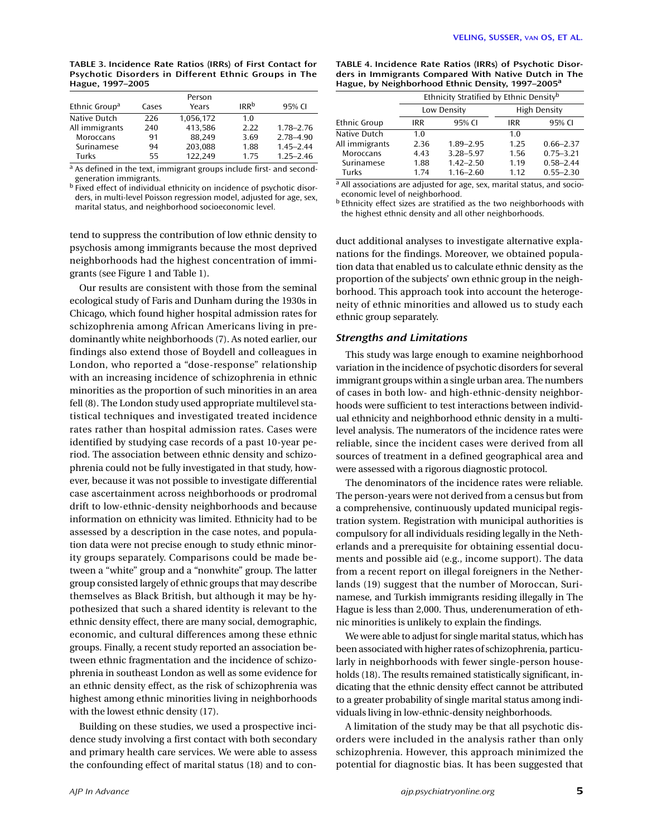| TABLE 3. Incidence Rate Ratios (IRRs) of First Contact for |  |  |  |
|------------------------------------------------------------|--|--|--|
| Psychotic Disorders in Different Ethnic Groups in The      |  |  |  |
| Hague, 1997-2005                                           |  |  |  |

| Ethnic Group <sup>a</sup> | Cases | Person<br>Years | <b>IRR</b> <sup>b</sup> | 95% CI        |
|---------------------------|-------|-----------------|-------------------------|---------------|
| Native Dutch              | 226   | 1,056,172       | 1.0                     |               |
| All immigrants            | 240   | 413,586         | 2.22                    | $1.78 - 2.76$ |
| Moroccans                 | 91    | 88.249          | 3.69                    | 2.78-4.90     |
| Surinamese                | 94    | 203,088         | 1.88                    | $1.45 - 2.44$ |
| Turks                     | 55    | 122.249         | 1.75                    | $1.25 - 2.46$ |

a As defined in the text, immigrant groups include first- and secondgeneration immigrants.

<sup>b</sup> Fixed effect of individual ethnicity on incidence of psychotic disorders, in multi-level Poisson regression model, adjusted for age, sex, marital status, and neighborhood socioeconomic level.

tend to suppress the contribution of low ethnic density to psychosis among immigrants because the most deprived neighborhoods had the highest concentration of immigrants (see Figure 1 and Table 1).

Our results are consistent with those from the seminal ecological study of Faris and Dunham during the 1930s in Chicago, which found higher hospital admission rates for schizophrenia among African Americans living in predominantly white neighborhoods (7). As noted earlier, our findings also extend those of Boydell and colleagues in London, who reported a "dose-response" relationship with an increasing incidence of schizophrenia in ethnic minorities as the proportion of such minorities in an area fell (8). The London study used appropriate multilevel statistical techniques and investigated treated incidence rates rather than hospital admission rates. Cases were identified by studying case records of a past 10-year period. The association between ethnic density and schizophrenia could not be fully investigated in that study, however, because it was not possible to investigate differential case ascertainment across neighborhoods or prodromal drift to low-ethnic-density neighborhoods and because information on ethnicity was limited. Ethnicity had to be assessed by a description in the case notes, and population data were not precise enough to study ethnic minority groups separately. Comparisons could be made between a "white" group and a "nonwhite" group. The latter group consisted largely of ethnic groups that may describe themselves as Black British, but although it may be hypothesized that such a shared identity is relevant to the ethnic density effect, there are many social, demographic, economic, and cultural differences among these ethnic groups. Finally, a recent study reported an association between ethnic fragmentation and the incidence of schizophrenia in southeast London as well as some evidence for an ethnic density effect, as the risk of schizophrenia was highest among ethnic minorities living in neighborhoods with the lowest ethnic density (17).

Building on these studies, we used a prospective incidence study involving a first contact with both secondary and primary health care services. We were able to assess the confounding effect of marital status (18) and to con-

| Hague, by Neighborhood Ethnic Density, 1997–2005 <sup>a</sup> |                                                     |               |                     |               |  |  |
|---------------------------------------------------------------|-----------------------------------------------------|---------------|---------------------|---------------|--|--|
|                                                               | Ethnicity Stratified by Ethnic Density <sup>b</sup> |               |                     |               |  |  |
|                                                               |                                                     | Low Density   | <b>High Density</b> |               |  |  |
| <b>Ethnic Group</b>                                           | IRR                                                 | 95% CI<br>IRR |                     | 95% CI        |  |  |
| Native Dutch                                                  | 1.0                                                 |               | 1.0                 |               |  |  |
| All immigrants                                                | 2.36                                                | $1.89 - 2.95$ | 1.25                | $0.66 - 2.37$ |  |  |
| Moroccans                                                     | 4.43                                                | $3.28 - 5.97$ | 1.56                | $0.75 - 3.21$ |  |  |
| Surinamese                                                    | 1.88                                                | $1.42 - 2.50$ | 1.19                | $0.58 - 2.44$ |  |  |
| Turks                                                         | 1.74                                                | $1.16 - 2.60$ | 1.12                | $0.55 - 2.30$ |  |  |

**TABLE 4. Incidence Rate Ratios (IRRs) of Psychotic Disorders in Immigrants Compared With Native Dutch in The Hague, by Neighborhood Ethnic Density, 1997–2005<sup>a</sup>**

 $a$  All associations are adjusted for age, sex, marital status, and socioeconomic level of neighborhood.

b Ethnicity effect sizes are stratified as the two neighborhoods with the highest ethnic density and all other neighborhoods.

duct additional analyses to investigate alternative explanations for the findings. Moreover, we obtained population data that enabled us to calculate ethnic density as the proportion of the subjects' own ethnic group in the neighborhood. This approach took into account the heterogeneity of ethnic minorities and allowed us to study each ethnic group separately.

## *Strengths and Limitations*

This study was large enough to examine neighborhood variation in the incidence of psychotic disorders for several immigrant groups within a single urban area. The numbers of cases in both low- and high-ethnic-density neighborhoods were sufficient to test interactions between individual ethnicity and neighborhood ethnic density in a multilevel analysis. The numerators of the incidence rates were reliable, since the incident cases were derived from all sources of treatment in a defined geographical area and were assessed with a rigorous diagnostic protocol.

The denominators of the incidence rates were reliable. The person-years were not derived from a census but from a comprehensive, continuously updated municipal registration system. Registration with municipal authorities is compulsory for all individuals residing legally in the Netherlands and a prerequisite for obtaining essential documents and possible aid (e.g., income support). The data from a recent report on illegal foreigners in the Netherlands (19) suggest that the number of Moroccan, Surinamese, and Turkish immigrants residing illegally in The Hague is less than 2,000. Thus, underenumeration of ethnic minorities is unlikely to explain the findings.

We were able to adjust for single marital status, which has been associated with higher rates of schizophrenia, particularly in neighborhoods with fewer single-person households (18). The results remained statistically significant, indicating that the ethnic density effect cannot be attributed to a greater probability of single marital status among individuals living in low-ethnic-density neighborhoods.

A limitation of the study may be that all psychotic disorders were included in the analysis rather than only schizophrenia. However, this approach minimized the potential for diagnostic bias. It has been suggested that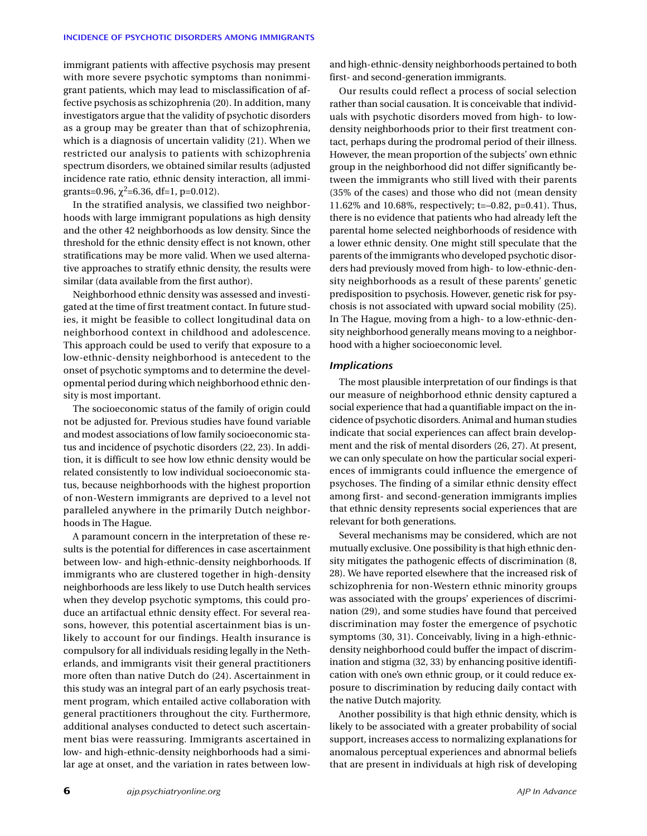immigrant patients with affective psychosis may present with more severe psychotic symptoms than nonimmigrant patients, which may lead to misclassification of affective psychosis as schizophrenia (20). In addition, many investigators argue that the validity of psychotic disorders as a group may be greater than that of schizophrenia, which is a diagnosis of uncertain validity (21). When we restricted our analysis to patients with schizophrenia spectrum disorders, we obtained similar results (adjusted incidence rate ratio, ethnic density interaction, all immigrants=0.96,  $\chi^2$ =6.36, df=1, p=0.012).

In the stratified analysis, we classified two neighborhoods with large immigrant populations as high density and the other 42 neighborhoods as low density. Since the threshold for the ethnic density effect is not known, other stratifications may be more valid. When we used alternative approaches to stratify ethnic density, the results were similar (data available from the first author).

Neighborhood ethnic density was assessed and investigated at the time of first treatment contact. In future studies, it might be feasible to collect longitudinal data on neighborhood context in childhood and adolescence. This approach could be used to verify that exposure to a low-ethnic-density neighborhood is antecedent to the onset of psychotic symptoms and to determine the developmental period during which neighborhood ethnic density is most important.

The socioeconomic status of the family of origin could not be adjusted for. Previous studies have found variable and modest associations of low family socioeconomic status and incidence of psychotic disorders (22, 23). In addition, it is difficult to see how low ethnic density would be related consistently to low individual socioeconomic status, because neighborhoods with the highest proportion of non-Western immigrants are deprived to a level not paralleled anywhere in the primarily Dutch neighborhoods in The Hague.

A paramount concern in the interpretation of these results is the potential for differences in case ascertainment between low- and high-ethnic-density neighborhoods. If immigrants who are clustered together in high-density neighborhoods are less likely to use Dutch health services when they develop psychotic symptoms, this could produce an artifactual ethnic density effect. For several reasons, however, this potential ascertainment bias is unlikely to account for our findings. Health insurance is compulsory for all individuals residing legally in the Netherlands, and immigrants visit their general practitioners more often than native Dutch do (24). Ascertainment in this study was an integral part of an early psychosis treatment program, which entailed active collaboration with general practitioners throughout the city. Furthermore, additional analyses conducted to detect such ascertainment bias were reassuring. Immigrants ascertained in low- and high-ethnic-density neighborhoods had a similar age at onset, and the variation in rates between lowand high-ethnic-density neighborhoods pertained to both first- and second-generation immigrants.

Our results could reflect a process of social selection rather than social causation. It is conceivable that individuals with psychotic disorders moved from high- to lowdensity neighborhoods prior to their first treatment contact, perhaps during the prodromal period of their illness. However, the mean proportion of the subjects' own ethnic group in the neighborhood did not differ significantly between the immigrants who still lived with their parents (35% of the cases) and those who did not (mean density 11.62% and 10.68%, respectively; t=–0.82, p=0.41). Thus, there is no evidence that patients who had already left the parental home selected neighborhoods of residence with a lower ethnic density. One might still speculate that the parents of the immigrants who developed psychotic disorders had previously moved from high- to low-ethnic-density neighborhoods as a result of these parents' genetic predisposition to psychosis. However, genetic risk for psychosis is not associated with upward social mobility (25). In The Hague, moving from a high- to a low-ethnic-density neighborhood generally means moving to a neighborhood with a higher socioeconomic level.

## *Implications*

The most plausible interpretation of our findings is that our measure of neighborhood ethnic density captured a social experience that had a quantifiable impact on the incidence of psychotic disorders. Animal and human studies indicate that social experiences can affect brain development and the risk of mental disorders (26, 27). At present, we can only speculate on how the particular social experiences of immigrants could influence the emergence of psychoses. The finding of a similar ethnic density effect among first- and second-generation immigrants implies that ethnic density represents social experiences that are relevant for both generations.

Several mechanisms may be considered, which are not mutually exclusive. One possibility is that high ethnic density mitigates the pathogenic effects of discrimination (8, 28). We have reported elsewhere that the increased risk of schizophrenia for non-Western ethnic minority groups was associated with the groups' experiences of discrimination (29), and some studies have found that perceived discrimination may foster the emergence of psychotic symptoms (30, 31). Conceivably, living in a high-ethnicdensity neighborhood could buffer the impact of discrimination and stigma (32, 33) by enhancing positive identification with one's own ethnic group, or it could reduce exposure to discrimination by reducing daily contact with the native Dutch majority.

Another possibility is that high ethnic density, which is likely to be associated with a greater probability of social support, increases access to normalizing explanations for anomalous perceptual experiences and abnormal beliefs that are present in individuals at high risk of developing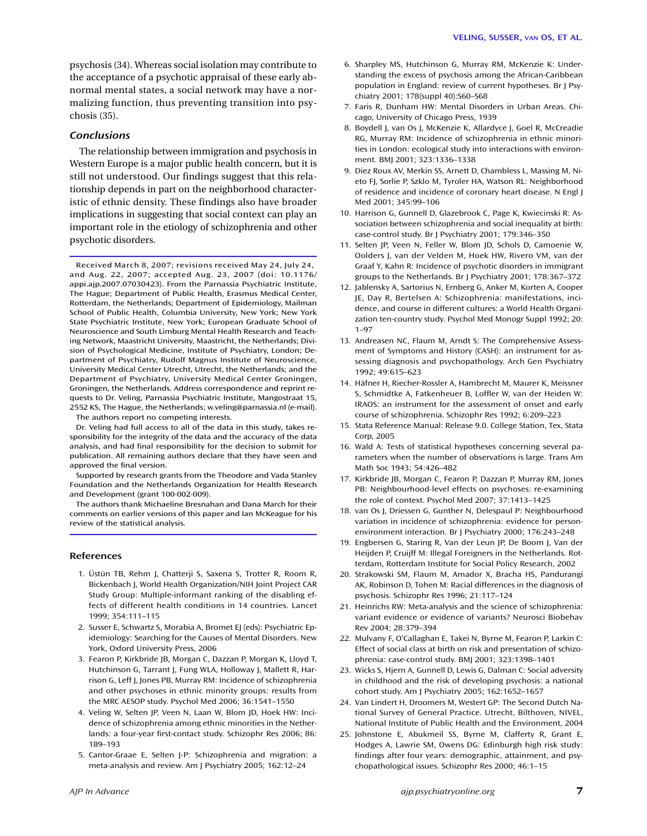psychosis (34). Whereas social isolation may contribute to the acceptance of a psychotic appraisal of these early abnormal mental states, a social network may have a normalizing function, thus preventing transition into psychosis (35).

## *Conclusions*

The relationship between immigration and psychosis in Western Europe is a major public health concern, but it is still not understood. Our findings suggest that this relationship depends in part on the neighborhood characteristic of ethnic density. These findings also have broader implications in suggesting that social context can play an important role in the etiology of schizophrenia and other psychotic disorders.

Received March 8, 2007; revisions received May 24, July 24, and Aug. 22, 2007; accepted Aug. 23, 2007 (doi: 10.1176/ appi.ajp.2007.07030423). From the Parnassia Psychiatric Institute, The Hague; Department of Public Health, Erasmus Medical Center, Rotterdam, the Netherlands; Department of Epidemiology, Mailman School of Public Health, Columbia University, New York; New York State Psychiatric Institute, New York; European Graduate School of Neuroscience and South Limburg Mental Health Research and Teaching Network, Maastricht University, Maastricht, the Netherlands; Division of Psychological Medicine, Institute of Psychiatry, London; Department of Psychiatry, Rudolf Magnus Institute of Neuroscience, University Medical Center Utrecht, Utrecht, the Netherlands; and the Department of Psychiatry, University Medical Center Groningen, Groningen, the Netherlands. Address correspondence and reprint requests to Dr. Veling, Parnassia Psychiatric Institute, Mangostraat 15, 2552 KS, The Hague, the Netherlands; w.veling@parnassia.nl (e-mail). The authors report no competing interests.

Dr. Veling had full access to all of the data in this study, takes responsibility for the integrity of the data and the accuracy of the data analysis, and had final responsibility for the decision to submit for publication. All remaining authors declare that they have seen and approved the final version.

Supported by research grants from the Theodore and Vada Stanley Foundation and the Netherlands Organization for Health Research and Development (grant 100-002-009).

The authors thank Michaeline Bresnahan and Dana March for their comments on earlier versions of this paper and Ian McKeague for his review of the statistical analysis.

#### **References**

- 1. Üstün TB, Rehm J, Chatterji S, Saxena S, Trotter R, Room R, Bickenbach J, World Health Organization/NIH Joint Project CAR Study Group: Multiple-informant ranking of the disabling effects of different health conditions in 14 countries. Lancet 1999; 354:111–115
- 2. Susser E, Schwartz S, Morabia A, Bromet EJ (eds): Psychiatric Epidemiology: Searching for the Causes of Mental Disorders. New York, Oxford University Press, 2006
- 3. Fearon P, Kirkbride JB, Morgan C, Dazzan P, Morgan K, Lloyd T, Hutchinson G, Tarrant J, Fung WLA, Holloway J, Mallett R, Harrison G, Leff J, Jones PB, Murray RM: Incidence of schizophrenia and other psychoses in ethnic minority groups: results from the MRC AESOP study. Psychol Med 2006; 36:1541–1550
- 4. Veling W, Selten JP, Veen N, Laan W, Blom JD, Hoek HW: Incidence of schizophrenia among ethnic minorities in the Netherlands: a four-year first-contact study. Schizophr Res 2006; 86: 189–193
- 5. Cantor-Graae E, Selten J-P: Schizophrenia and migration: a meta-analysis and review. Am J Psychiatry 2005; 162:12–24
- 7. Faris R, Dunham HW: Mental Disorders in Urban Areas. Chicago, University of Chicago Press, 1939
- 8. Boydell J, van Os J, McKenzie K, Allardyce J, Goel R, McCreadie RG, Murray RM: Incidence of schizophrenia in ethnic minorities in London: ecological study into interactions with environment. BMJ 2001; 323:1336–1338
- 9. Diez Roux AV, Merkin SS, Arnett D, Chambless L, Massing M, Nieto FJ, Sorlie P, Szklo M, Tyroler HA, Watson RL: Neighborhood of residence and incidence of coronary heart disease. N Engl J Med 2001; 345:99–106
- 10. Harrison G, Gunnell D, Glazebrook C, Page K, Kwiecinski R: Association between schizophrenia and social inequality at birth: case-control study. Br J Psychiatry 2001; 179:346–350
- 11. Selten JP, Veen N, Feller W, Blom JD, Schols D, Camoenie W, Oolders J, van der Velden M, Hoek HW, Rivero VM, van der Graaf Y, Kahn R: Incidence of psychotic disorders in immigrant groups to the Netherlands. Br J Psychiatry 2001; 178:367–372
- 12. Jablensky A, Sartorius N, Ernberg G, Anker M, Korten A, Cooper JE, Day R, Bertelsen A: Schizophrenia: manifestations, incidence, and course in different cultures: a World Health Organization ten-country study. Psychol Med Monogr Suppl 1992; 20: 1–97
- 13. Andreasen NC, Flaum M, Arndt S: The Comprehensive Assessment of Symptoms and History (CASH): an instrument for assessing diagnosis and psychopathology. Arch Gen Psychiatry 1992; 49:615–623
- 14. Häfner H, Riecher-Rossler A, Hambrecht M, Maurer K, Meissner S, Schmidtke A, Fatkenheuer B, Loffler W, van der Heiden W: IRAOS: an instrument for the assessment of onset and early course of schizophrenia. Schizophr Res 1992; 6:209–223
- 15. Stata Reference Manual: Release 9.0. College Station, Tex, Stata Corp, 2005
- 16. Wald A: Tests of statistical hypotheses concerning several parameters when the number of observations is large. Trans Am Math Soc 1943; 54:426–482
- 17. Kirkbride JB, Morgan C, Fearon P, Dazzan P, Murray RM, Jones PB: Neighbourhood-level effects on psychoses: re-examining the role of context. Psychol Med 2007; 37:1413–1425
- 18. van Os J, Driessen G, Gunther N, Delespaul P: Neighbourhood variation in incidence of schizophrenia: evidence for personenvironment interaction. Br J Psychiatry 2000; 176:243–248
- 19. Engbersen G, Staring R, Van der Leun JP, De Boom J, Van der Heijden P, Cruijff M: Illegal Foreigners in the Netherlands. Rotterdam, Rotterdam Institute for Social Policy Research, 2002
- 20. Strakowski SM, Flaum M, Amador X, Bracha HS, Pandurangi AK, Robinson D, Tohen M: Racial differences in the diagnosis of psychosis. Schizophr Res 1996; 21:117–124
- 21. Heinrichs RW: Meta-analysis and the science of schizophrenia: variant evidence or evidence of variants? Neurosci Biobehav Rev 2004; 28:379–394
- 22. Mulvany F, O'Callaghan E, Takei N, Byrne M, Fearon P, Larkin C: Effect of social class at birth on risk and presentation of schizophrenia: case-control study. BMJ 2001; 323:1398–1401
- 23. Wicks S, Hjern A, Gunnell D, Lewis G, Dalman C: Social adversity in childhood and the risk of developing psychosis: a national cohort study. Am J Psychiatry 2005; 162:1652–1657
- 24. Van Lindert H, Droomers M, Westert GP: The Second Dutch National Survey of General Practice. Utrecht, Bilthoven, NIVEL, National Institute of Public Health and the Environment, 2004
- 25. Johnstone E, Abukmeil SS, Byrne M, Clafferty R, Grant E, Hodges A, Lawrie SM, Owens DG: Edinburgh high risk study: findings after four years: demographic, attainment, and psychopathological issues. Schizophr Res 2000; 46:1–15